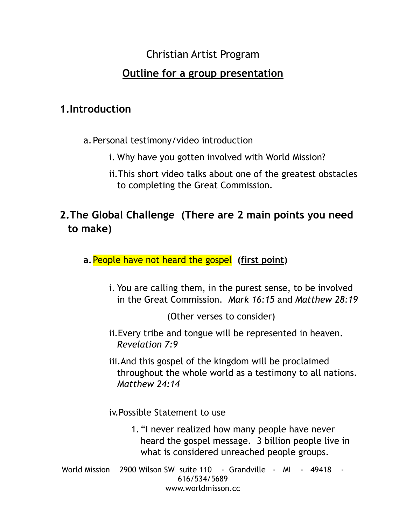# Christian Artist Program

### **Outline for a group presentation**

## **1.Introduction**

- a.Personal testimony/video introduction
	- i. Why have you gotten involved with World Mission?
	- ii.This short video talks about one of the greatest obstacles to completing the Great Commission.

# **2.The Global Challenge (There are 2 main points you need to make)**

- **a.**People have not heard the gospel **(first point)**
	- i. You are calling them, in the purest sense, to be involved in the Great Commission. *Mark 16:15* and *Matthew 28:19*

(Other verses to consider)

- ii.Every tribe and tongue will be represented in heaven. *Revelation 7:9*
- iii.And this gospel of the kingdom will be proclaimed throughout the whole world as a testimony to all nations. *Matthew 24:14*

iv.Possible Statement to use

- 1."I never realized how many people have never heard the gospel message. 3 billion people live in what is considered unreached people groups.
- World Mission 2900 Wilson SW suite 110 Grandville MI 49418 -616/534/5689 www.worldmisson.cc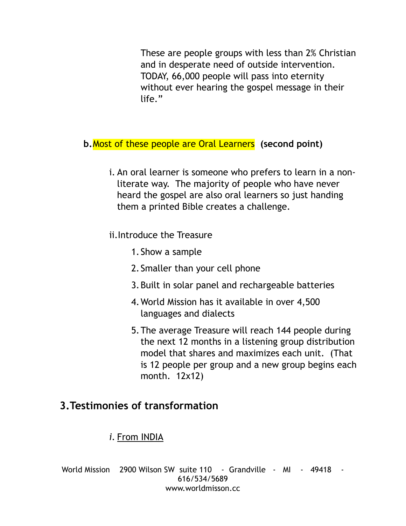These are people groups with less than 2% Christian and in desperate need of outside intervention. TODAY, 66,000 people will pass into eternity without ever hearing the gospel message in their life."

- **b.**Most of these people are Oral Learners **(second point)** 
	- i. An oral learner is someone who prefers to learn in a nonliterate way. The majority of people who have never heard the gospel are also oral learners so just handing them a printed Bible creates a challenge.

ii.Introduce the Treasure

- 1.Show a sample
- 2.Smaller than your cell phone
- 3.Built in solar panel and rechargeable batteries
- 4.World Mission has it available in over 4,500 languages and dialects
- 5.The average Treasure will reach 144 people during the next 12 months in a listening group distribution model that shares and maximizes each unit. (That is 12 people per group and a new group begins each month. 12x12)

# **3.Testimonies of transformation**

#### *i.* From INDIA

World Mission 2900 Wilson SW suite 110 - Grandville - MI - 49418 -616/534/5689 www.worldmisson.cc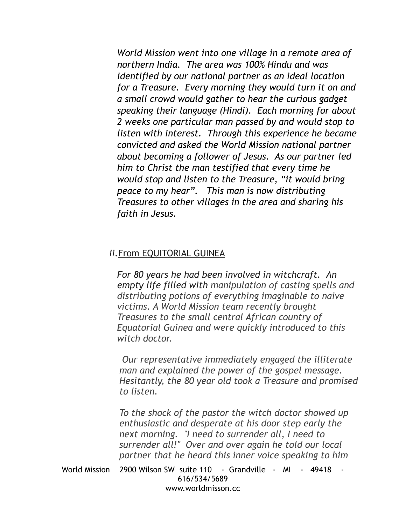*World Mission went into one village in a remote area of northern India. The area was 100% Hindu and was identified by our national partner as an ideal location for a Treasure. Every morning they would turn it on and a small crowd would gather to hear the curious gadget speaking their language (Hindi). Each morning for about 2 weeks one particular man passed by and would stop to listen with interest. Through this experience he became convicted and asked the World Mission national partner about becoming a follower of Jesus. As our partner led him to Christ the man testified that every time he would stop and listen to the Treasure, "it would bring peace to my hear". This man is now distributing Treasures to other villages in the area and sharing his faith in Jesus.* 

#### *ii.*From EQUITORIAL GUINEA

*For 80 years he had been involved in witchcraft. An empty life filled with manipulation of casting spells and distributing potions of everything imaginable to naive victims. A World Mission team recently brought Treasures to the small central African country of Equatorial Guinea and were quickly introduced to this witch doctor.*

 *Our representative immediately engaged the illiterate man and explained the power of the gospel message. Hesitantly, the 80 year old took a Treasure and promised to listen.* 

*To the shock of the pastor the witch doctor showed up enthusiastic and desperate at his door step early the next morning. "I need to surrender all, I need to surrender all!" Over and over again he told our local partner that he heard this inner voice speaking to him* 

World Mission 2900 Wilson SW suite 110 - Grandville - MI - 49418 -616/534/5689 www.worldmisson.cc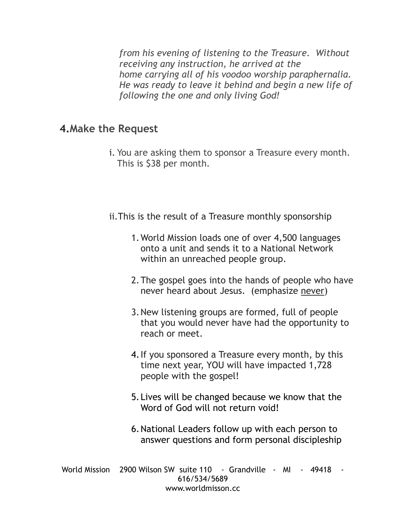*from his evening of listening to the Treasure. Without receiving any instruction, he arrived at the home carrying all of his voodoo worship paraphernalia. He was ready to leave it behind and begin a new life of following the one and only living God!*

#### **4.Make the Request**

- i. You are asking them to sponsor a Treasure every month. This is \$38 per month.
- ii.This is the result of a Treasure monthly sponsorship
	- 1.World Mission loads one of over 4,500 languages onto a unit and sends it to a National Network within an unreached people group.
	- 2.The gospel goes into the hands of people who have never heard about Jesus. (emphasize never)
	- 3.New listening groups are formed, full of people that you would never have had the opportunity to reach or meet.
	- 4.If you sponsored a Treasure every month, by this time next year, YOU will have impacted 1,728 people with the gospel!
	- 5.Lives will be changed because we know that the Word of God will not return void!
	- 6.National Leaders follow up with each person to answer questions and form personal discipleship

World Mission 2900 Wilson SW suite 110 - Grandville - MI - 49418 -616/534/5689 www.worldmisson.cc